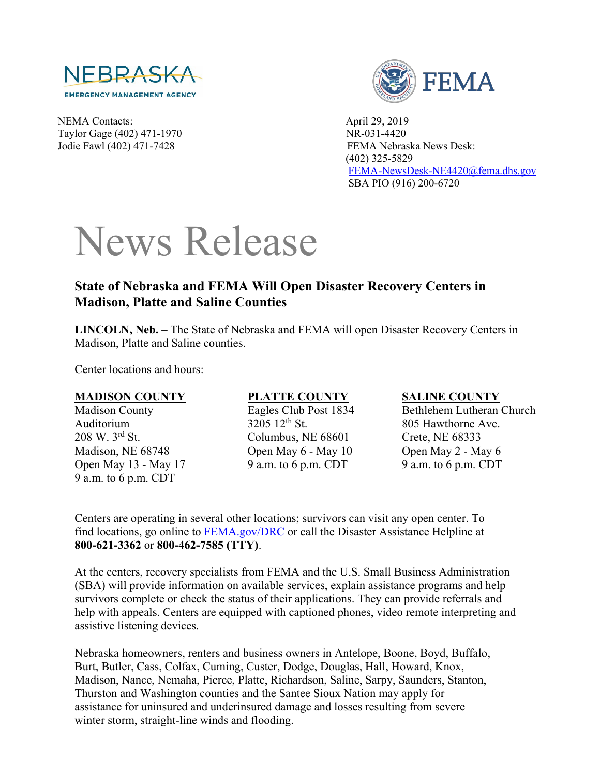

NEMA Contacts: April 29, 2019 Taylor Gage (402) 471-1970 NR-031-4420 Jodie Fawl (402) 471-7428 FEMA Nebraska News Desk:



 (402) 325-5829 [FEMA-NewsDesk-NE4420@fema.dhs.gov](mailto:FEMA-NewsDesk-NE4420@fema.dhs.gov) SBA PIO (916) 200-6720

# News Release

## **State of Nebraska and FEMA Will Open Disaster Recovery Centers in Madison, Platte and Saline Counties**

**LINCOLN, Neb. –** The State of Nebraska and FEMA will open Disaster Recovery Centers in Madison, Platte and Saline counties.

Center locations and hours:

### **MADISON COUNTY**

Madison County Auditorium 208 W. 3rd St. Madison, NE 68748 Open May 13 - May 17 9 a.m. to 6 p.m. CDT

## **PLATTE COUNTY**

Eagles Club Post 1834 3205 12th St. Columbus, NE 68601 Open May 6 - May 10 9 a.m. to 6 p.m. CDT

### **SALINE COUNTY**

Bethlehem Lutheran Church 805 Hawthorne Ave. Crete, NE 68333 Open May 2 - May 6 9 a.m. to 6 p.m. CDT

Centers are operating in several other locations; survivors can visit any open center. To find locations, go online to [FEMA.gov/DRC](http://www.fema.gov/DRC) or call the Disaster Assistance Helpline at **800-621-3362** or **800-462-7585 (TTY)**.

At the centers, recovery specialists from FEMA and the U.S. Small Business Administration (SBA) will provide information on available services, explain assistance programs and help survivors complete or check the status of their applications. They can provide referrals and help with appeals. Centers are equipped with captioned phones, video remote interpreting and assistive listening devices.

Nebraska homeowners, renters and business owners in Antelope, Boone, Boyd, Buffalo, Burt, Butler, Cass, Colfax, Cuming, Custer, Dodge, Douglas, Hall, Howard, Knox, Madison, Nance, Nemaha, Pierce, Platte, Richardson, Saline, Sarpy, Saunders, Stanton, Thurston and Washington counties and the Santee Sioux Nation may apply for assistance for uninsured and underinsured damage and losses resulting from severe winter storm, straight-line winds and flooding.